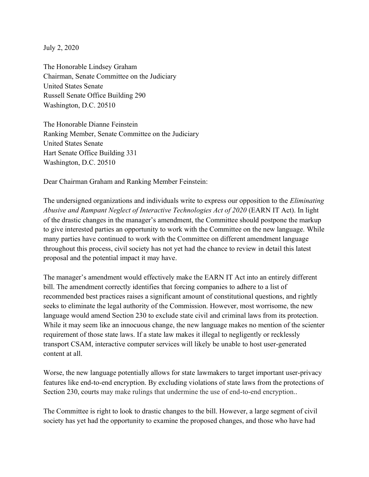July 2, 2020

The Honorable Lindsey Graham Chairman, Senate Committee on the Judiciary United States Senate Russell Senate Office Building 290 Washington, D.C. 20510

The Honorable Dianne Feinstein Ranking Member, Senate Committee on the Judiciary United States Senate Hart Senate Office Building 331 Washington, D.C. 20510

Dear Chairman Graham and Ranking Member Feinstein:

The undersigned organizations and individuals write to express our opposition to the *Eliminating Abusive and Rampant Neglect of Interactive Technologies Act of 2020* (EARN IT Act). In light of the drastic changes in the manager's amendment, the Committee should postpone the markup to give interested parties an opportunity to work with the Committee on the new language. While many parties have continued to work with the Committee on different amendment language throughout this process, civil society has not yet had the chance to review in detail this latest proposal and the potential impact it may have.

The manager's amendment would effectively make the EARN IT Act into an entirely different bill. The amendment correctly identifies that forcing companies to adhere to a list of recommended best practices raises a significant amount of constitutional questions, and rightly seeks to eliminate the legal authority of the Commission. However, most worrisome, the new language would amend Section 230 to exclude state civil and criminal laws from its protection. While it may seem like an innocuous change, the new language makes no mention of the scienter requirement of those state laws. If a state law makes it illegal to negligently or recklessly transport CSAM, interactive computer services will likely be unable to host user-generated content at all.

Worse, the new language potentially allows for state lawmakers to target important user-privacy features like end-to-end encryption. By excluding violations of state laws from the protections of Section 230, courts may make rulings that undermine the use of end-to-end encryption..

The Committee is right to look to drastic changes to the bill. However, a large segment of civil society has yet had the opportunity to examine the proposed changes, and those who have had